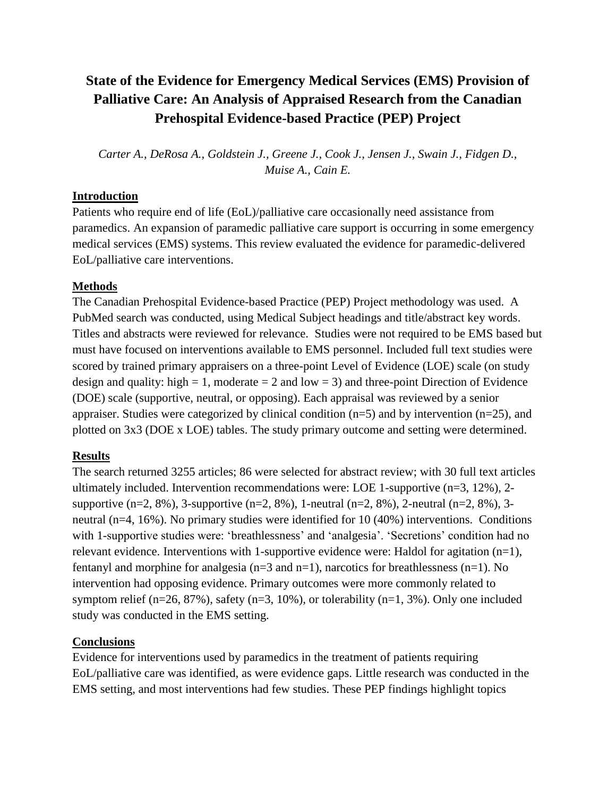# **State of the Evidence for Emergency Medical Services (EMS) Provision of Palliative Care: An Analysis of Appraised Research from the Canadian Prehospital Evidence-based Practice (PEP) Project**

*Carter A., DeRosa A., Goldstein J., Greene J., Cook J., Jensen J., Swain J., Fidgen D., Muise A., Cain E.*

### **Introduction**

Patients who require end of life (EoL)/palliative care occasionally need assistance from paramedics. An expansion of paramedic palliative care support is occurring in some emergency medical services (EMS) systems. This review evaluated the evidence for paramedic-delivered EoL/palliative care interventions.

## **Methods**

The Canadian Prehospital Evidence-based Practice (PEP) Project methodology was used. A PubMed search was conducted, using Medical Subject headings and title/abstract key words. Titles and abstracts were reviewed for relevance. Studies were not required to be EMS based but must have focused on interventions available to EMS personnel. Included full text studies were scored by trained primary appraisers on a three-point Level of Evidence (LOE) scale (on study design and quality: high  $= 1$ , moderate  $= 2$  and low  $= 3$ ) and three-point Direction of Evidence (DOE) scale (supportive, neutral, or opposing). Each appraisal was reviewed by a senior appraiser. Studies were categorized by clinical condition  $(n=5)$  and by intervention  $(n=25)$ , and plotted on 3x3 (DOE x LOE) tables. The study primary outcome and setting were determined.

## **Results**

The search returned 3255 articles; 86 were selected for abstract review; with 30 full text articles ultimately included. Intervention recommendations were: LOE 1-supportive (n=3, 12%), 2 supportive  $(n=2, 8\%)$ , 3-supportive  $(n=2, 8\%)$ , 1-neutral  $(n=2, 8\%)$ , 2-neutral  $(n=2, 8\%)$ , 3neutral (n=4, 16%). No primary studies were identified for 10 (40%) interventions. Conditions with 1-supportive studies were: 'breathlessness' and 'analgesia'. 'Secretions' condition had no relevant evidence. Interventions with 1-supportive evidence were: Haldol for agitation  $(n=1)$ , fentanyl and morphine for analgesia  $(n=3 \text{ and } n=1)$ , narcotics for breathlessness  $(n=1)$ . No intervention had opposing evidence. Primary outcomes were more commonly related to symptom relief (n=26, 87%), safety (n=3, 10%), or tolerability (n=1, 3%). Only one included study was conducted in the EMS setting.

## **Conclusions**

Evidence for interventions used by paramedics in the treatment of patients requiring EoL/palliative care was identified, as were evidence gaps. Little research was conducted in the EMS setting, and most interventions had few studies. These PEP findings highlight topics